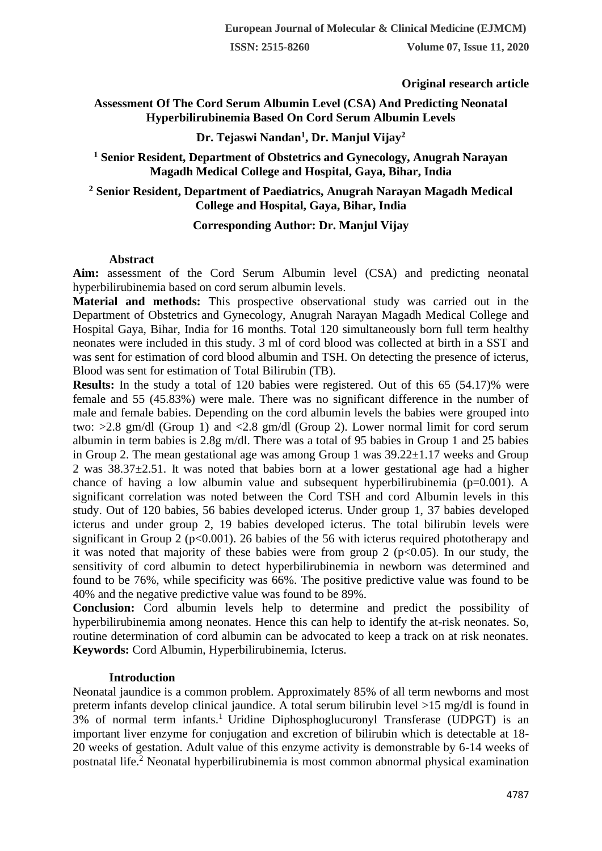**ISSN: 2515-8260 Volume 07, Issue 11, 2020**

## **Original research article**

# **Assessment Of The Cord Serum Albumin Level (CSA) And Predicting Neonatal Hyperbilirubinemia Based On Cord Serum Albumin Levels**

# **Dr. Tejaswi Nandan<sup>1</sup> , Dr. Manjul Vijay<sup>2</sup>**

## **<sup>1</sup> Senior Resident, Department of Obstetrics and Gynecology, Anugrah Narayan Magadh Medical College and Hospital, Gaya, Bihar, India**

## **<sup>2</sup> Senior Resident, Department of Paediatrics, Anugrah Narayan Magadh Medical College and Hospital, Gaya, Bihar, India**

### **Corresponding Author: Dr. Manjul Vijay**

### **Abstract**

**Aim:** assessment of the Cord Serum Albumin level (CSA) and predicting neonatal hyperbilirubinemia based on cord serum albumin levels.

**Material and methods:** This prospective observational study was carried out in the Department of Obstetrics and Gynecology, Anugrah Narayan Magadh Medical College and Hospital Gaya, Bihar, India for 16 months. Total 120 simultaneously born full term healthy neonates were included in this study. 3 ml of cord blood was collected at birth in a SST and was sent for estimation of cord blood albumin and TSH. On detecting the presence of icterus, Blood was sent for estimation of Total Bilirubin (TB).

**Results:** In the study a total of 120 babies were registered. Out of this 65 (54.17)% were female and 55 (45.83%) were male. There was no significant difference in the number of male and female babies. Depending on the cord albumin levels the babies were grouped into two:  $>2.8$  gm/dl (Group 1) and  $<2.8$  gm/dl (Group 2). Lower normal limit for cord serum albumin in term babies is 2.8g m/dl. There was a total of 95 babies in Group 1 and 25 babies in Group 2. The mean gestational age was among Group 1 was  $39.22 \pm 1.17$  weeks and Group 2 was 38.37±2.51. It was noted that babies born at a lower gestational age had a higher chance of having a low albumin value and subsequent hyperbilirubinemia ( $p=0.001$ ). A significant correlation was noted between the Cord TSH and cord Albumin levels in this study. Out of 120 babies, 56 babies developed icterus. Under group 1, 37 babies developed icterus and under group 2, 19 babies developed icterus. The total bilirubin levels were significant in Group 2 ( $p<0.001$ ). 26 babies of the 56 with icterus required phototherapy and it was noted that majority of these babies were from group 2 ( $p<0.05$ ). In our study, the sensitivity of cord albumin to detect hyperbilirubinemia in newborn was determined and found to be 76%, while specificity was 66%. The positive predictive value was found to be 40% and the negative predictive value was found to be 89%.

**Conclusion:** Cord albumin levels help to determine and predict the possibility of hyperbilirubinemia among neonates. Hence this can help to identify the at-risk neonates. So, routine determination of cord albumin can be advocated to keep a track on at risk neonates. **Keywords:** Cord Albumin, Hyperbilirubinemia, Icterus.

#### **Introduction**

Neonatal jaundice is a common problem. Approximately 85% of all term newborns and most preterm infants develop clinical jaundice. A total serum bilirubin level >15 mg/dl is found in  $3\%$  of normal term infants.<sup>1</sup> Uridine Diphosphoglucuronyl Transferase (UDPGT) is an important liver enzyme for conjugation and excretion of bilirubin which is detectable at 18- 20 weeks of gestation. Adult value of this enzyme activity is demonstrable by 6-14 weeks of postnatal life.<sup>2</sup> Neonatal hyperbilirubinemia is most common abnormal physical examination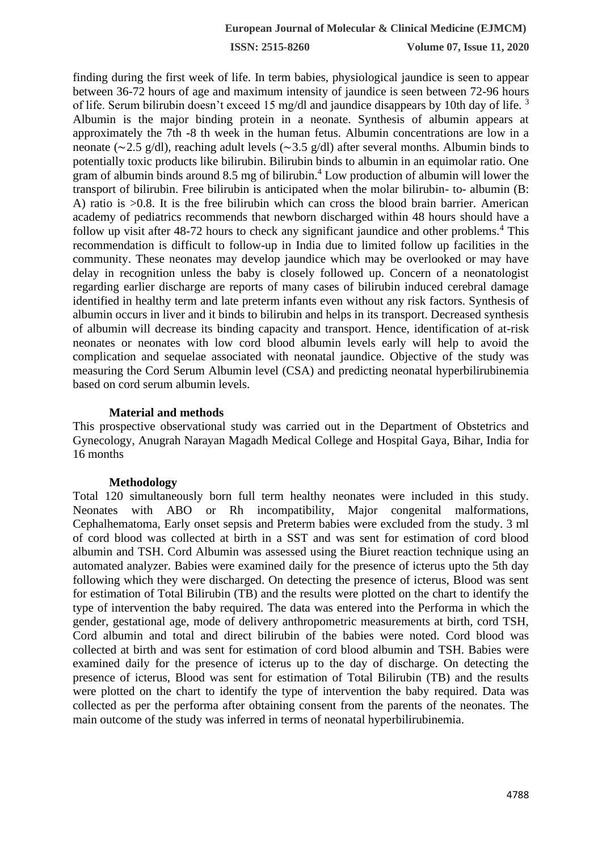**ISSN: 2515-8260 Volume 07, Issue 11, 2020**

finding during the first week of life. In term babies, physiological jaundice is seen to appear between 36-72 hours of age and maximum intensity of jaundice is seen between 72-96 hours of life. Serum bilirubin doesn't exceed 15 mg/dl and jaundice disappears by 10th day of life. <sup>3</sup> Albumin is the major binding protein in a neonate. Synthesis of albumin appears at approximately the 7th -8 th week in the human fetus. Albumin concentrations are low in a neonate (∼2.5 g/dl), reaching adult levels (∼3.5 g/dl) after several months. Albumin binds to potentially toxic products like bilirubin. Bilirubin binds to albumin in an equimolar ratio. One gram of albumin binds around 8.5 mg of bilirubin.<sup>4</sup> Low production of albumin will lower the transport of bilirubin. Free bilirubin is anticipated when the molar bilirubin- to- albumin (B: A) ratio is >0.8. It is the free bilirubin which can cross the blood brain barrier. American academy of pediatrics recommends that newborn discharged within 48 hours should have a follow up visit after  $48-72$  hours to check any significant jaundice and other problems.<sup>4</sup> This recommendation is difficult to follow-up in India due to limited follow up facilities in the community. These neonates may develop jaundice which may be overlooked or may have delay in recognition unless the baby is closely followed up. Concern of a neonatologist regarding earlier discharge are reports of many cases of bilirubin induced cerebral damage identified in healthy term and late preterm infants even without any risk factors. Synthesis of albumin occurs in liver and it binds to bilirubin and helps in its transport. Decreased synthesis of albumin will decrease its binding capacity and transport. Hence, identification of at-risk neonates or neonates with low cord blood albumin levels early will help to avoid the complication and sequelae associated with neonatal jaundice. Objective of the study was measuring the Cord Serum Albumin level (CSA) and predicting neonatal hyperbilirubinemia based on cord serum albumin levels.

#### **Material and methods**

This prospective observational study was carried out in the Department of Obstetrics and Gynecology, Anugrah Narayan Magadh Medical College and Hospital Gaya, Bihar, India for 16 months

#### **Methodology**

Total 120 simultaneously born full term healthy neonates were included in this study. Neonates with ABO or Rh incompatibility, Major congenital malformations, Cephalhematoma, Early onset sepsis and Preterm babies were excluded from the study. 3 ml of cord blood was collected at birth in a SST and was sent for estimation of cord blood albumin and TSH. Cord Albumin was assessed using the Biuret reaction technique using an automated analyzer. Babies were examined daily for the presence of icterus upto the 5th day following which they were discharged. On detecting the presence of icterus, Blood was sent for estimation of Total Bilirubin (TB) and the results were plotted on the chart to identify the type of intervention the baby required. The data was entered into the Performa in which the gender, gestational age, mode of delivery anthropometric measurements at birth, cord TSH, Cord albumin and total and direct bilirubin of the babies were noted. Cord blood was collected at birth and was sent for estimation of cord blood albumin and TSH. Babies were examined daily for the presence of icterus up to the day of discharge. On detecting the presence of icterus, Blood was sent for estimation of Total Bilirubin (TB) and the results were plotted on the chart to identify the type of intervention the baby required. Data was collected as per the performa after obtaining consent from the parents of the neonates. The main outcome of the study was inferred in terms of neonatal hyperbilirubinemia.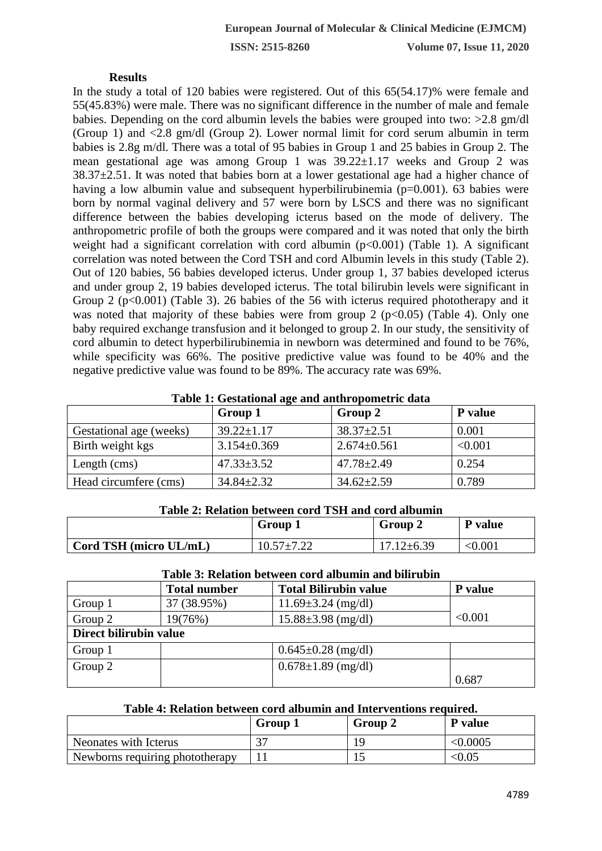### **Results**

In the study a total of 120 babies were registered. Out of this 65(54.17)% were female and 55(45.83%) were male. There was no significant difference in the number of male and female babies. Depending on the cord albumin levels the babies were grouped into two: >2.8 gm/dl (Group 1) and <2.8 gm/dl (Group 2). Lower normal limit for cord serum albumin in term babies is 2.8g m/dl. There was a total of 95 babies in Group 1 and 25 babies in Group 2. The mean gestational age was among Group 1 was 39.22±1.17 weeks and Group 2 was  $38.37\pm2.51$ . It was noted that babies born at a lower gestational age had a higher chance of having a low albumin value and subsequent hyperbilirubinemia (p=0.001). 63 babies were born by normal vaginal delivery and 57 were born by LSCS and there was no significant difference between the babies developing icterus based on the mode of delivery. The anthropometric profile of both the groups were compared and it was noted that only the birth weight had a significant correlation with cord albumin  $(p<0.001)$  (Table 1). A significant correlation was noted between the Cord TSH and cord Albumin levels in this study (Table 2). Out of 120 babies, 56 babies developed icterus. Under group 1, 37 babies developed icterus and under group 2, 19 babies developed icterus. The total bilirubin levels were significant in Group 2 (p<0.001) (Table 3). 26 babies of the 56 with icterus required phototherapy and it was noted that majority of these babies were from group 2 ( $p<0.05$ ) (Table 4). Only one baby required exchange transfusion and it belonged to group 2. In our study, the sensitivity of cord albumin to detect hyperbilirubinemia in newborn was determined and found to be 76%, while specificity was 66%. The positive predictive value was found to be 40% and the negative predictive value was found to be 89%. The accuracy rate was 69%.

|                         | Group 1          | Group 2           | P value |
|-------------------------|------------------|-------------------|---------|
| Gestational age (weeks) | $39.22 \pm 1.17$ | $38.37 \pm 2.51$  | 0.001   |
| Birth weight kgs        | $3.154\pm0.369$  | $2.674 \pm 0.561$ | < 0.001 |
| Length (cms)            | $47.33 \pm 3.52$ | $47.78 \pm 2.49$  | 0.254   |
| Head circumfere (cms)   | $34.84 \pm 2.32$ | $34.62 \pm 2.59$  | 0.789   |

**Table 1: Gestational age and anthropometric data**

## **Table 2: Relation between cord TSH and cord albumin**

|                        | Group 1          | Group 2          | P value |
|------------------------|------------------|------------------|---------|
| Cord TSH (micro UL/mL) | $10.57 \pm 7.22$ | $17.12 \pm 6.39$ | < 0.001 |

## **Table 3: Relation between cord albumin and bilirubin**

|                        | <b>Total number</b> | <b>Total Bilirubin value</b> | <b>P</b> value |  |
|------------------------|---------------------|------------------------------|----------------|--|
| Group 1                | 37 (38.95%)         | $11.69 \pm 3.24$ (mg/dl)     |                |  |
| Group 2                | 19(76%)             | $15.88 \pm 3.98$ (mg/dl)     | < 0.001        |  |
| Direct bilirubin value |                     |                              |                |  |
| Group 1                |                     | $0.645 \pm 0.28$ (mg/dl)     |                |  |
| Group 2                |                     | $0.678 \pm 1.89$ (mg/dl)     |                |  |
|                        |                     |                              | 0.687          |  |

## **Table 4: Relation between cord albumin and Interventions required.**

|                                 | Group 1  | Group 2 | <b>P</b> value |
|---------------------------------|----------|---------|----------------|
| Neonates with Icterus           | $\gamma$ |         | < 0.0005       |
| Newborns requiring phototherapy |          | ∸       | $<\!\!0.05$    |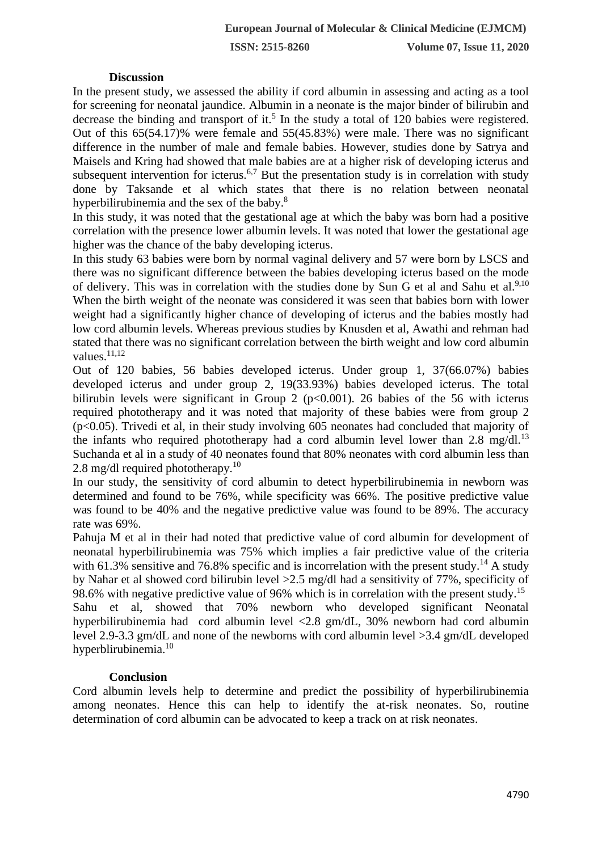**ISSN: 2515-8260 Volume 07, Issue 11, 2020**

## **Discussion**

In the present study, we assessed the ability if cord albumin in assessing and acting as a tool for screening for neonatal jaundice. Albumin in a neonate is the major binder of bilirubin and decrease the binding and transport of it.<sup>5</sup> In the study a total of 120 babies were registered. Out of this 65(54.17)% were female and 55(45.83%) were male. There was no significant difference in the number of male and female babies. However, studies done by Satrya and Maisels and Kring had showed that male babies are at a higher risk of developing icterus and subsequent intervention for icterus.<sup>6,7</sup> But the presentation study is in correlation with study done by Taksande et al which states that there is no relation between neonatal hyperbilirubinemia and the sex of the baby.<sup>8</sup>

In this study, it was noted that the gestational age at which the baby was born had a positive correlation with the presence lower albumin levels. It was noted that lower the gestational age higher was the chance of the baby developing icterus.

In this study 63 babies were born by normal vaginal delivery and 57 were born by LSCS and there was no significant difference between the babies developing icterus based on the mode of delivery. This was in correlation with the studies done by Sun G et al and Sahu et al.<sup>9,10</sup> When the birth weight of the neonate was considered it was seen that babies born with lower weight had a significantly higher chance of developing of icterus and the babies mostly had low cord albumin levels. Whereas previous studies by Knusden et al, Awathi and rehman had stated that there was no significant correlation between the birth weight and low cord albumin values. $^{11,12}$ 

Out of 120 babies, 56 babies developed icterus. Under group 1, 37(66.07%) babies developed icterus and under group 2, 19(33.93%) babies developed icterus. The total bilirubin levels were significant in Group 2 ( $p<0.001$ ). 26 babies of the 56 with icterus required phototherapy and it was noted that majority of these babies were from group 2 (p<0.05). Trivedi et al, in their study involving 605 neonates had concluded that majority of the infants who required phototherapy had a cord albumin level lower than 2.8 mg/dl.<sup>13</sup> Suchanda et al in a study of 40 neonates found that 80% neonates with cord albumin less than 2.8 mg/dl required phototherapy.<sup>10</sup>

In our study, the sensitivity of cord albumin to detect hyperbilirubinemia in newborn was determined and found to be 76%, while specificity was 66%. The positive predictive value was found to be 40% and the negative predictive value was found to be 89%. The accuracy rate was 69%.

Pahuja M et al in their had noted that predictive value of cord albumin for development of neonatal hyperbilirubinemia was 75% which implies a fair predictive value of the criteria with 61.3% sensitive and 76.8% specific and is incorrelation with the present study.<sup>14</sup> A study by Nahar et al showed cord bilirubin level >2.5 mg/dl had a sensitivity of 77%, specificity of 98.6% with negative predictive value of 96% which is in correlation with the present study.<sup>15</sup> Sahu et al, showed that 70% newborn who developed significant Neonatal hyperbilirubinemia had cord albumin level <2.8 gm/dL, 30% newborn had cord albumin level 2.9-3.3 gm/dL and none of the newborns with cord albumin level >3.4 gm/dL developed hyperblirubinemia.<sup>10</sup>

## **Conclusion**

Cord albumin levels help to determine and predict the possibility of hyperbilirubinemia among neonates. Hence this can help to identify the at-risk neonates. So, routine determination of cord albumin can be advocated to keep a track on at risk neonates.